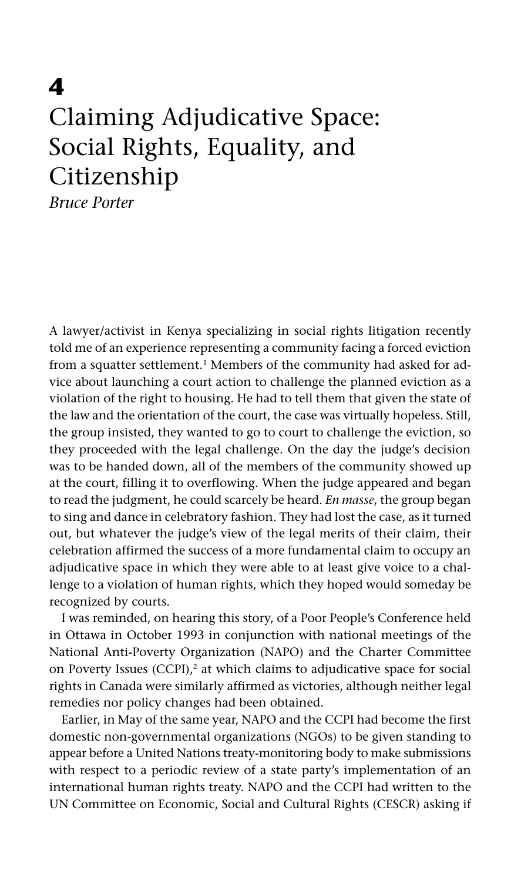**4**

# Claiming Adjudicative Space: Social Rights, Equality, and Citizenship

*Bruce Porter*

A lawyer/activist in Kenya specializing in social rights litigation recently told me of an experience representing a community facing a forced eviction from a squatter settlement.<sup>1</sup> Members of the community had asked for advice about launching a court action to challenge the planned eviction as a violation of the right to housing. He had to tell them that given the state of the law and the orientation of the court, the case was virtually hopeless. Still, the group insisted, they wanted to go to court to challenge the eviction, so they proceeded with the legal challenge. On the day the judge's decision was to be handed down, all of the members of the community showed up at the court, filling it to overflowing. When the judge appeared and began to read the judgment, he could scarcely be heard. *En masse*, the group began to sing and dance in celebratory fashion. They had lost the case, as it turned out, but whatever the judge's view of the legal merits of their claim, their celebration affirmed the success of a more fundamental claim to occupy an adjudicative space in which they were able to at least give voice to a challenge to a violation of human rights, which they hoped would someday be recognized by courts.

I was reminded, on hearing this story, of a Poor People's Conference held in Ottawa in October 1993 in conjunction with national meetings of the National Anti-Poverty Organization (NAPO) and the Charter Committee on Poverty Issues (CCPI),<sup>2</sup> at which claims to adjudicative space for social rights in Canada were similarly affirmed as victories, although neither legal remedies nor policy changes had been obtained.

Earlier, in May of the same year, NAPO and the CCPI had become the first domestic non-governmental organizations (NGOs) to be given standing to appear before a United Nations treaty-monitoring body to make submissions with respect to a periodic review of a state party's implementation of an international human rights treaty. NAPO and the CCPI had written to the UN Committee on Economic, Social and Cultural Rights (CESCR) asking if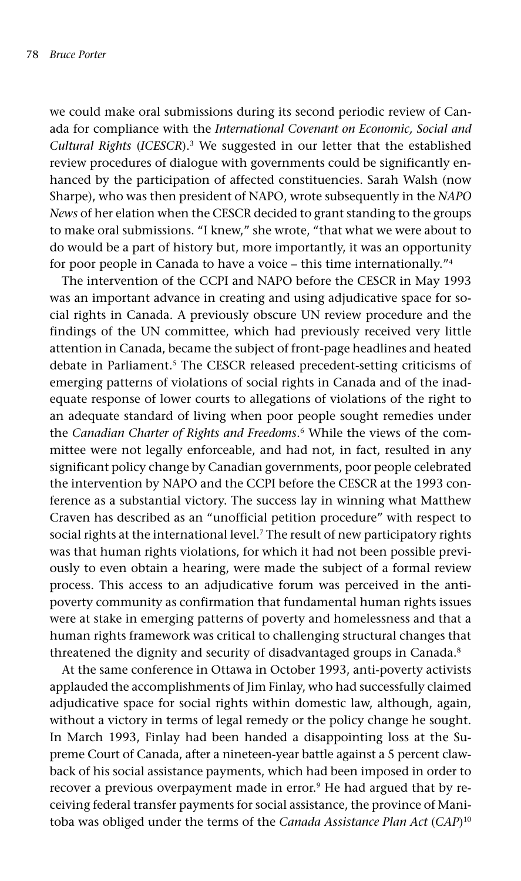we could make oral submissions during its second periodic review of Canada for compliance with the *International Covenant on Economic, Social and Cultural Rights* (*ICESCR*).[3](#page-15-1) We suggested in our letter that the established review procedures of dialogue with governments could be significantly enhanced by the participation of affected constituencies. Sarah Walsh (now Sharpe), who was then president of NAPO, wrote subsequently in the *NAPO News* of her elation when the CESCR decided to grant standing to the groups to make oral submissions. "I knew," she wrote, "that what we were about to do would be a part of history but, more importantly, it was an opportunity for poor people in Canada to have a voice – this time internationally."[4](#page-15-1)

The intervention of the CCPI and NAPO before the CESCR in May 1993 was an important advance in creating and using adjudicative space for social rights in Canada. A previously obscure UN review procedure and the findings of the UN committee, which had previously received very little attention in Canada, became the subject of front-page headlines and heated debate in Parliament.<sup>5</sup> The CESCR released precedent-setting criticisms of emerging patterns of violations of social rights in Canada and of the inadequate response of lower courts to allegations of violations of the right to an adequate standard of living when poor people sought remedies under the *Canadian Charter of Rights and Freedoms*. [6](#page-15-1) While the views of the committee were not legally enforceable, and had not, in fact, resulted in any significant policy change by Canadian governments, poor people celebrated the intervention by NAPO and the CCPI before the CESCR at the 1993 conference as a substantial victory. The success lay in winning what Matthew Craven has described as an "unofficial petition procedure" with respect to social rights at the international level.<sup>7</sup> The result of new participatory rights was that human rights violations, for which it had not been possible previously to even obtain a hearing, were made the subject of a formal review process. This access to an adjudicative forum was perceived in the antipoverty community as confirmation that fundamental human rights issues were at stake in emerging patterns of poverty and homelessness and that a human rights framework was critical to challenging structural changes that threatened the dignity and security of disadvantaged groups in Canada.<sup>8</sup>

At the same conference in Ottawa in October 1993, anti-poverty activists applauded the accomplishments of Jim Finlay, who had successfully claimed adjudicative space for social rights within domestic law, although, again, without a victory in terms of legal remedy or the policy change he sought. In March 1993, Finlay had been handed a disappointing loss at the Supreme Court of Canada, after a nineteen-year battle against a 5 percent clawback of his social assistance payments, which had been imposed in order to recover a previous overpayment made in error.<sup>9</sup> He had argued that by receiving federal transfer payments for social assistance, the province of Manitoba was obliged under the terms of the *Canada Assistance Plan Act* (*CAP*[\)10](#page-15-1)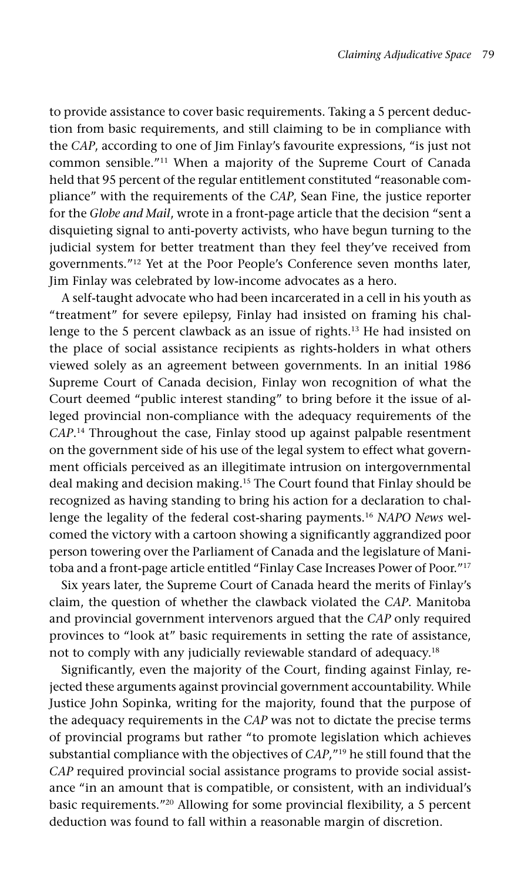to provide assistance to cover basic requirements. Taking a 5 percent deduction from basic requirements, and still claiming to be in compliance with the *CAP*, according to one of Jim Finlay's favourite expressions, "is just not common sensible.["11](#page-15-0) When a majority of the Supreme Court of Canada held that 95 percent of the regular entitlement constituted "reasonable compliance" with the requirements of the *CAP*, Sean Fine, the justice reporter for the *Globe and Mail*, wrote in a front-page article that the decision "sent a disquieting signal to anti-poverty activists, who have begun turning to the judicial system for better treatment than they feel they've received from governments.["12](#page-15-0) Yet at the Poor People's Conference seven months later, Jim Finlay was celebrated by low-income advocates as a hero.

A self-taught advocate who had been incarcerated in a cell in his youth as "treatment" for severe epilepsy, Finlay had insisted on framing his challenge to the 5 percent clawback as an issue of rights.<sup>13</sup> He had insisted on the place of social assistance recipients as rights-holders in what others viewed solely as an agreement between governments. In an initial 1986 Supreme Court of Canada decision, Finlay won recognition of what the Court deemed "public interest standing" to bring before it the issue of alleged provincial non-compliance with the adequacy requirements of the *CAP*. [14](#page-15-0) Throughout the case, Finlay stood up against palpable resentment on the government side of his use of the legal system to effect what government officials perceived as an illegitimate intrusion on intergovernmental deal making and decision making[.15](#page-15-0) The Court found that Finlay should be recognized as having standing to bring his action for a declaration to challenge the legality of the federal cost-sharing payments.[16](#page-15-0) *NAPO News* welcomed the victory with a cartoon showing a significantly aggrandized poor person towering over the Parliament of Canada and the legislature of Manitoba and a front-page article entitled "Finlay Case Increases Power of Poor.["17](#page-15-0)

Six years later, the Supreme Court of Canada heard the merits of Finlay's claim, the question of whether the clawback violated the *CAP*. Manitoba and provincial government intervenors argued that the *CAP* only required provinces to "look at" basic requirements in setting the rate of assistance, not to comply with any judicially reviewable standard of adequacy.[18](#page-15-0)

Significantly, even the majority of the Court, finding against Finlay, rejected these arguments against provincial government accountability. While Justice John Sopinka, writing for the majority, found that the purpose of the adequacy requirements in the *CAP* was not to dictate the precise terms of provincial programs but rather "to promote legislation which achieves substantial compliance with the objectives of *CAP*,["19](#page-15-0) he still found that the *CAP* required provincial social assistance programs to provide social assistance "in an amount that is compatible, or consistent, with an individual's basic requirements.["20](#page-15-0) Allowing for some provincial flexibility, a 5 percent deduction was found to fall within a reasonable margin of discretion.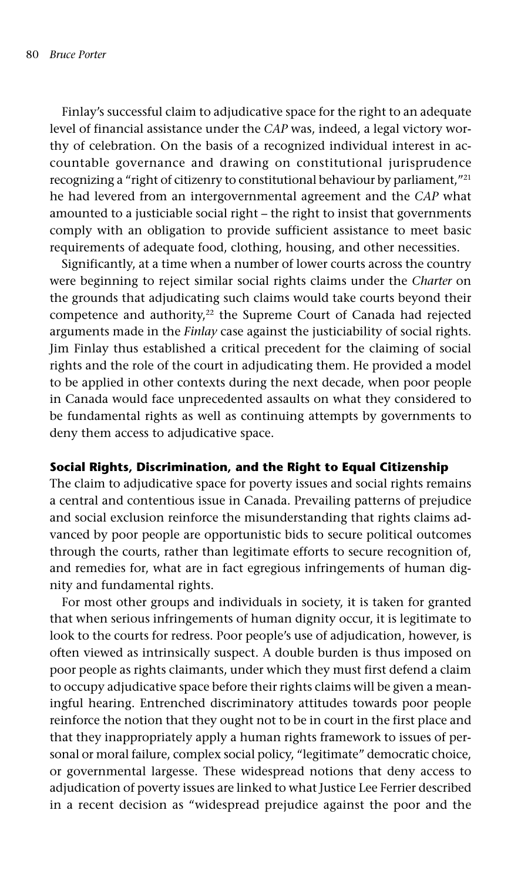Finlay's successful claim to adjudicative space for the right to an adequate level of financial assistance under the *CAP* was, indeed, a legal victory worthy of celebration. On the basis of a recognized individual interest in accountable governance and drawing on constitutional jurisprudence recognizing a "right of citizenry to constitutional behaviour by parliament,["21](#page-15-1) he had levered from an intergovernmental agreement and the *CAP* what amounted to a justiciable social right – the right to insist that governments comply with an obligation to provide sufficient assistance to meet basic requirements of adequate food, clothing, housing, and other necessities.

Significantly, at a time when a number of lower courts across the country were beginning to reject similar social rights claims under the *Charter* on the grounds that adjudicating such claims would take courts beyond their competence and authority,<sup>22</sup> the Supreme Court of Canada had rejected arguments made in the *Finlay* case against the justiciability of social rights. Jim Finlay thus established a critical precedent for the claiming of social rights and the role of the court in adjudicating them. He provided a model to be applied in other contexts during the next decade, when poor people in Canada would face unprecedented assaults on what they considered to be fundamental rights as well as continuing attempts by governments to deny them access to adjudicative space.

### **Social Rights, Discrimination, and the Right to Equal Citizenship**

The claim to adjudicative space for poverty issues and social rights remains a central and contentious issue in Canada. Prevailing patterns of prejudice and social exclusion reinforce the misunderstanding that rights claims advanced by poor people are opportunistic bids to secure political outcomes through the courts, rather than legitimate efforts to secure recognition of, and remedies for, what are in fact egregious infringements of human dignity and fundamental rights.

For most other groups and individuals in society, it is taken for granted that when serious infringements of human dignity occur, it is legitimate to look to the courts for redress. Poor people's use of adjudication, however, is often viewed as intrinsically suspect. A double burden is thus imposed on poor people as rights claimants, under which they must first defend a claim to occupy adjudicative space before their rights claims will be given a meaningful hearing. Entrenched discriminatory attitudes towards poor people reinforce the notion that they ought not to be in court in the first place and that they inappropriately apply a human rights framework to issues of personal or moral failure, complex social policy, "legitimate" democratic choice, or governmental largesse. These widespread notions that deny access to adjudication of poverty issues are linked to what Justice Lee Ferrier described in a recent decision as "widespread prejudice against the poor and the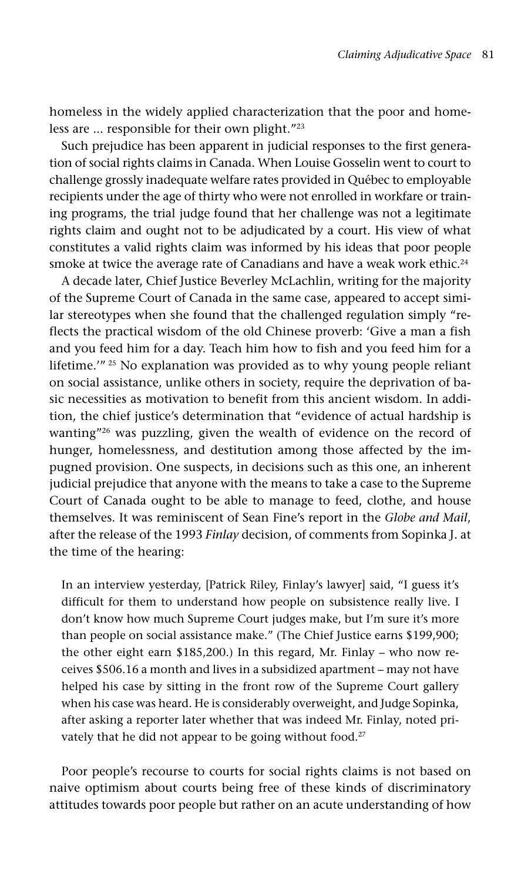homeless in the widely applied characterization that the poor and homeless are ... responsible for their own plight.["23](#page-15-0)

Such prejudice has been apparent in judicial responses to the first generation of social rights claims in Canada. When Louise Gosselin went to court to challenge grossly inadequate welfare rates provided in Québec to employable recipients under the age of thirty who were not enrolled in workfare or training programs, the trial judge found that her challenge was not a legitimate rights claim and ought not to be adjudicated by a court. His view of what constitutes a valid rights claim was informed by his ideas that poor people smoke at twice the average rate of Canadians and have a weak work ethic.<sup>24</sup>

A decade later, Chief Justice Beverley McLachlin, writing for the majority of the Supreme Court of Canada in the same case, appeared to accept similar stereotypes when she found that the challenged regulation simply "reflects the practical wisdom of the old Chinese proverb: 'Give a man a fish and you feed him for a day. Teach him how to fish and you feed him for a lifetime.'" [25](#page-15-0) No explanation was provided as to why young people reliant on social assistance, unlike others in society, require the deprivation of basic necessities as motivation to benefit from this ancient wisdom. In addition, the chief justice's determination that "evidence of actual hardship is wanting"<sup>26</sup> was puzzling, given the wealth of evidence on the record of hunger, homelessness, and destitution among those affected by the impugned provision. One suspects, in decisions such as this one, an inherent judicial prejudice that anyone with the means to take a case to the Supreme Court of Canada ought to be able to manage to feed, clothe, and house themselves. It was reminiscent of Sean Fine's report in the *Globe and Mail*, after the release of the 1993 *Finlay* decision, of comments from Sopinka J. at the time of the hearing:

In an interview yesterday, [Patrick Riley, Finlay's lawyer] said, "I guess it's difficult for them to understand how people on subsistence really live. I don't know how much Supreme Court judges make, but I'm sure it's more than people on social assistance make." (The Chief Justice earns \$199,900; the other eight earn \$185,200.) In this regard, Mr. Finlay – who now receives \$506.16 a month and lives in a subsidized apartment – may not have helped his case by sitting in the front row of the Supreme Court gallery when his case was heard. He is considerably overweight, and Judge Sopinka, after asking a reporter later whether that was indeed Mr. Finlay, noted pri-vately that he did not appear to be going without food.<sup>[27](#page-16-0)</sup>

Poor people's recourse to courts for social rights claims is not based on naive optimism about courts being free of these kinds of discriminatory attitudes towards poor people but rather on an acute understanding of how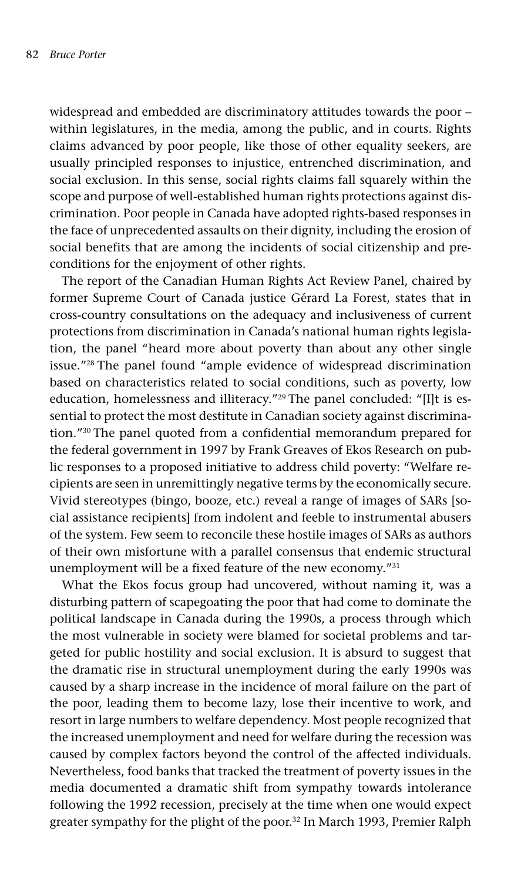widespread and embedded are discriminatory attitudes towards the poor – within legislatures, in the media, among the public, and in courts. Rights claims advanced by poor people, like those of other equality seekers, are usually principled responses to injustice, entrenched discrimination, and social exclusion. In this sense, social rights claims fall squarely within the scope and purpose of well-established human rights protections against discrimination. Poor people in Canada have adopted rights-based responses in the face of unprecedented assaults on their dignity, including the erosion of social benefits that are among the incidents of social citizenship and preconditions for the enjoyment of other rights.

The report of the Canadian Human Rights Act Review Panel, chaired by former Supreme Court of Canada justice Gérard La Forest, states that in cross-country consultations on the adequacy and inclusiveness of current protections from discrimination in Canada's national human rights legislation, the panel "heard more about poverty than about any other single issue.["28](#page-16-1) The panel found "ample evidence of widespread discrimination based on characteristics related to social conditions, such as poverty, low education, homelessness and illiteracy."<sup>29</sup> The panel concluded: "[I]t is essential to protect the most destitute in Canadian society against discrimination."[30](#page-16-1) The panel quoted from a confidential memorandum prepared for the federal government in 1997 by Frank Greaves of Ekos Research on public responses to a proposed initiative to address child poverty: "Welfare recipients are seen in unremittingly negative terms by the economically secure. Vivid stereotypes (bingo, booze, etc.) reveal a range of images of SARs [social assistance recipients] from indolent and feeble to instrumental abusers of the system. Few seem to reconcile these hostile images of SARs as authors of their own misfortune with a parallel consensus that endemic structural unemployment will be a fixed feature of the new economy."[31](#page-16-1)

What the Ekos focus group had uncovered, without naming it, was a disturbing pattern of scapegoating the poor that had come to dominate the political landscape in Canada during the 1990s, a process through which the most vulnerable in society were blamed for societal problems and targeted for public hostility and social exclusion. It is absurd to suggest that the dramatic rise in structural unemployment during the early 1990s was caused by a sharp increase in the incidence of moral failure on the part of the poor, leading them to become lazy, lose their incentive to work, and resort in large numbers to welfare dependency. Most people recognized that the increased unemployment and need for welfare during the recession was caused by complex factors beyond the control of the affected individuals. Nevertheless, food banks that tracked the treatment of poverty issues in the media documented a dramatic shift from sympathy towards intolerance following the 1992 recession, precisely at the time when one would expect greater sympathy for the plight of the poor.<sup>32</sup> In March 1993, Premier Ralph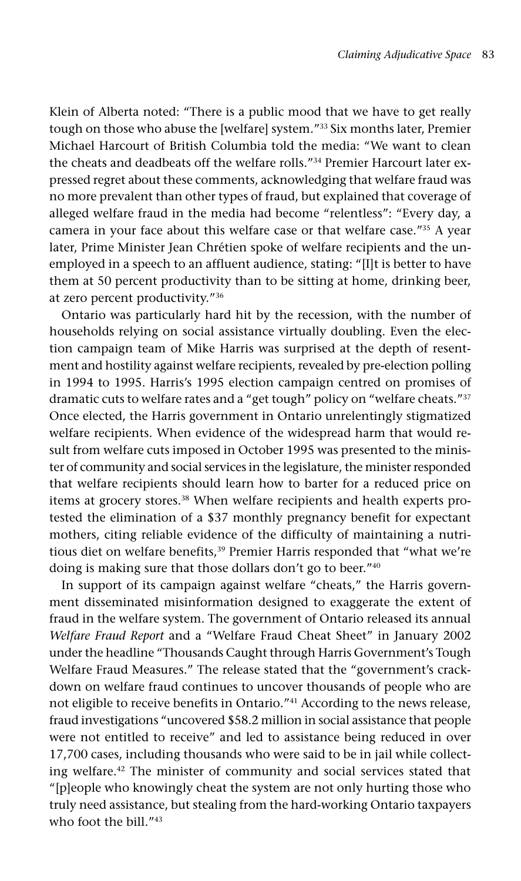Klein of Alberta noted: "There is a public mood that we have to get really tough on those who abuse the [welfare] system."<sup>33</sup> Six months later, Premier Michael Harcourt of British Columbia told the media: "We want to clean the cheats and deadbeats off the welfare rolls."[34](#page-16-0) Premier Harcourt later expressed regret about these comments, acknowledging that welfare fraud was no more prevalent than other types of fraud, but explained that coverage of alleged welfare fraud in the media had become "relentless": "Every day, a camera in your face about this welfare case or that welfare case.["35](#page-16-0) A year later, Prime Minister Jean Chrétien spoke of welfare recipients and the unemployed in a speech to an affluent audience, stating: "[I]t is better to have them at 50 percent productivity than to be sitting at home, drinking beer, at zero percent productivity.["36](#page-16-0)

Ontario was particularly hard hit by the recession, with the number of households relying on social assistance virtually doubling. Even the election campaign team of Mike Harris was surprised at the depth of resentment and hostility against welfare recipients, revealed by pre-election polling in 1994 to 1995. Harris's 1995 election campaign centred on promises of dramatic cuts to welfare rates and a "get tough" policy on "welfare cheats."<sup>37</sup> Once elected, the Harris government in Ontario unrelentingly stigmatized welfare recipients. When evidence of the widespread harm that would result from welfare cuts imposed in October 1995 was presented to the minister of community and social services in the legislature, the minister responded that welfare recipients should learn how to barter for a reduced price on items at grocery stores.<sup>38</sup> When welfare recipients and health experts protested the elimination of a \$37 monthly pregnancy benefit for expectant mothers, citing reliable evidence of the difficulty of maintaining a nutritious diet on welfare benefits,<sup>39</sup> Premier Harris responded that "what we're doing is making sure that those dollars don't go to beer.["40](#page-16-0)

In support of its campaign against welfare "cheats," the Harris government disseminated misinformation designed to exaggerate the extent of fraud in the welfare system. The government of Ontario released its annual *Welfare Fraud Report* and a "Welfare Fraud Cheat Sheet" in January 2002 under the headline "Thousands Caught through Harris Government's Tough Welfare Fraud Measures." The release stated that the "government's crackdown on welfare fraud continues to uncover thousands of people who are not eligible to receive benefits in Ontario.["41](#page-16-0) According to the news release, fraud investigations "uncovered \$58.2 million in social assistance that people were not entitled to receive" and led to assistance being reduced in over 17,700 cases, including thousands who were said to be in jail while collecting welfare[.42](#page-16-0) The minister of community and social services stated that "[p]eople who knowingly cheat the system are not only hurting those who truly need assistance, but stealing from the hard-working Ontario taxpayers who foot the bill."<sup>[43](#page-16-0)</sup>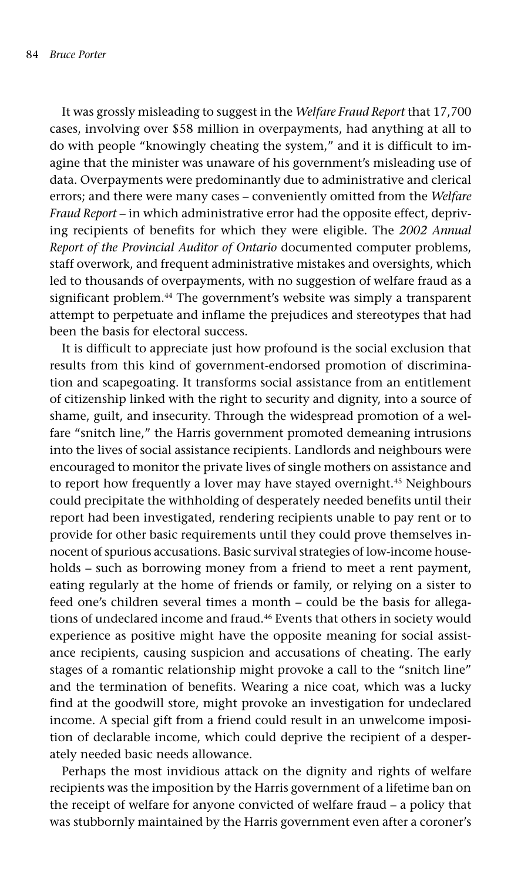It was grossly misleading to suggest in the *Welfare Fraud Report* that 17,700 cases, involving over \$58 million in overpayments, had anything at all to do with people "knowingly cheating the system," and it is difficult to imagine that the minister was unaware of his government's misleading use of data. Overpayments were predominantly due to administrative and clerical errors; and there were many cases – conveniently omitted from the *Welfare Fraud Report* – in which administrative error had the opposite effect, depriving recipients of benefits for which they were eligible. The *2002 Annual Report of the Provincial Auditor of Ontario* documented computer problems, staff overwork, and frequent administrative mistakes and oversights, which led to thousands of overpayments, with no suggestion of welfare fraud as a significant problem.<sup>44</sup> The government's website was simply a transparent attempt to perpetuate and inflame the prejudices and stereotypes that had been the basis for electoral success.

It is difficult to appreciate just how profound is the social exclusion that results from this kind of government-endorsed promotion of discrimination and scapegoating. It transforms social assistance from an entitlement of citizenship linked with the right to security and dignity, into a source of shame, guilt, and insecurity. Through the widespread promotion of a welfare "snitch line," the Harris government promoted demeaning intrusions into the lives of social assistance recipients. Landlords and neighbours were encouraged to monitor the private lives of single mothers on assistance and to report how frequently a lover may have stayed overnight.<sup>45</sup> Neighbours could precipitate the withholding of desperately needed benefits until their report had been investigated, rendering recipients unable to pay rent or to provide for other basic requirements until they could prove themselves innocent of spurious accusations. Basic survival strategies of low-income households – such as borrowing money from a friend to meet a rent payment, eating regularly at the home of friends or family, or relying on a sister to feed one's children several times a month – could be the basis for allegations of undeclared income and fraud.<sup>46</sup> Events that others in society would experience as positive might have the opposite meaning for social assistance recipients, causing suspicion and accusations of cheating. The early stages of a romantic relationship might provoke a call to the "snitch line" and the termination of benefits. Wearing a nice coat, which was a lucky find at the goodwill store, might provoke an investigation for undeclared income. A special gift from a friend could result in an unwelcome imposition of declarable income, which could deprive the recipient of a desperately needed basic needs allowance.

Perhaps the most invidious attack on the dignity and rights of welfare recipients was the imposition by the Harris government of a lifetime ban on the receipt of welfare for anyone convicted of welfare fraud – a policy that was stubbornly maintained by the Harris government even after a coroner's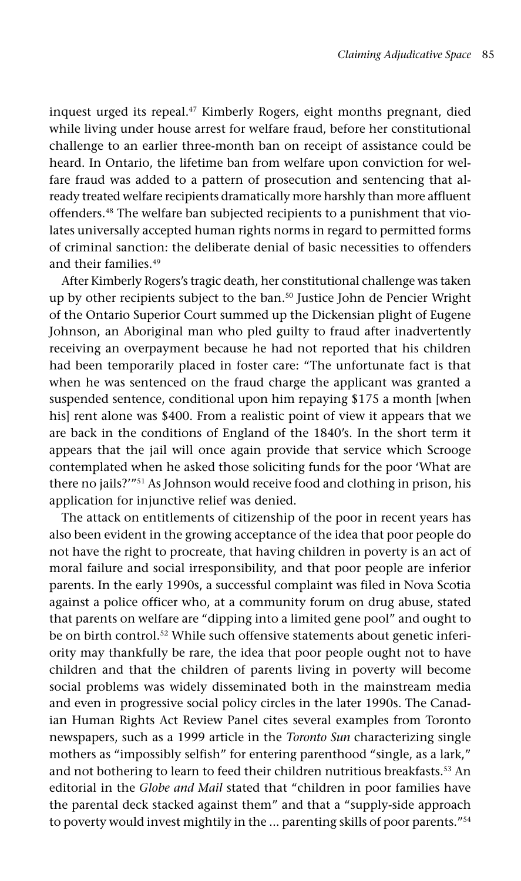inquest urged its repeal.<sup>47</sup> Kimberly Rogers, eight months pregnant, died while living under house arrest for welfare fraud, before her constitutional challenge to an earlier three-month ban on receipt of assistance could be heard. In Ontario, the lifetime ban from welfare upon conviction for welfare fraud was added to a pattern of prosecution and sentencing that already treated welfare recipients dramatically more harshly than more affluent offenders.[48](#page-16-0) The welfare ban subjected recipients to a punishment that violates universally accepted human rights norms in regard to permitted forms of criminal sanction: the deliberate denial of basic necessities to offenders and their families.[49](#page-17-0)

After Kimberly Rogers's tragic death, her constitutional challenge was taken up by other recipients subject to the ban.<sup>50</sup> Justice John de Pencier Wright of the Ontario Superior Court summed up the Dickensian plight of Eugene Johnson, an Aboriginal man who pled guilty to fraud after inadvertently receiving an overpayment because he had not reported that his children had been temporarily placed in foster care: "The unfortunate fact is that when he was sentenced on the fraud charge the applicant was granted a suspended sentence, conditional upon him repaying \$175 a month [when his] rent alone was \$400. From a realistic point of view it appears that we are back in the conditions of England of the 1840's. In the short term it appears that the jail will once again provide that service which Scrooge contemplated when he asked those soliciting funds for the poor 'What are there no jails?'["51](#page-17-0) As Johnson would receive food and clothing in prison, his application for injunctive relief was denied.

The attack on entitlements of citizenship of the poor in recent years has also been evident in the growing acceptance of the idea that poor people do not have the right to procreate, that having children in poverty is an act of moral failure and social irresponsibility, and that poor people are inferior parents. In the early 1990s, a successful complaint was filed in Nova Scotia against a police officer who, at a community forum on drug abuse, stated that parents on welfare are "dipping into a limited gene pool" and ought to be on birth control.<sup>52</sup> While such offensive statements about genetic inferiority may thankfully be rare, the idea that poor people ought not to have children and that the children of parents living in poverty will become social problems was widely disseminated both in the mainstream media and even in progressive social policy circles in the later 1990s. The Canadian Human Rights Act Review Panel cites several examples from Toronto newspapers, such as a 1999 article in the *Toronto Sun* characterizing single mothers as "impossibly selfish" for entering parenthood "single, as a lark," and not bothering to learn to feed their children nutritious breakfasts.<sup>53</sup> An editorial in the *Globe and Mail* stated that "children in poor families have the parental deck stacked against them" and that a "supply-side approach to poverty would invest mightily in the ... parenting skills of poor parents.["54](#page-17-0)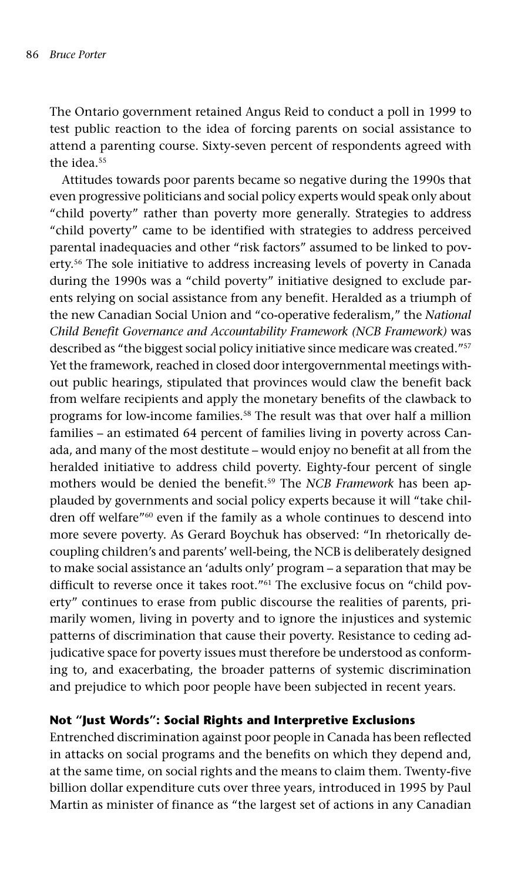The Ontario government retained Angus Reid to conduct a poll in 1999 to test public reaction to the idea of forcing parents on social assistance to attend a parenting course. Sixty-seven percent of respondents agreed with the idea.<sup>55</sup>

Attitudes towards poor parents became so negative during the 1990s that even progressive politicians and social policy experts would speak only about "child poverty" rather than poverty more generally. Strategies to address "child poverty" came to be identified with strategies to address perceived parental inadequacies and other "risk factors" assumed to be linked to poverty[.56](#page-17-1) The sole initiative to address increasing levels of poverty in Canada during the 1990s was a "child poverty" initiative designed to exclude parents relying on social assistance from any benefit. Heralded as a triumph of the new Canadian Social Union and "co-operative federalism," the *National Child Benefit Governance and Accountability Framework (NCB Framework)* was described as "the biggest social policy initiative since medicare was created.["57](#page-17-1) Yet the framework, reached in closed door intergovernmental meetings without public hearings, stipulated that provinces would claw the benefit back from welfare recipients and apply the monetary benefits of the clawback to programs for low-income families.<sup>58</sup> The result was that over half a million families – an estimated 64 percent of families living in poverty across Canada, and many of the most destitute – would enjoy no benefit at all from the heralded initiative to address child poverty. Eighty-four percent of single mothers would be denied the benefit[.59](#page-17-1) The *NCB Framework* has been applauded by governments and social policy experts because it will "take children off welfare"<sup>60</sup> even if the family as a whole continues to descend into more severe poverty. As Gerard Boychuk has observed: "In rhetorically decoupling children's and parents' well-being, the NCB is deliberately designed to make social assistance an 'adults only' program – a separation that may be difficult to reverse once it takes root.["61](#page-17-1) The exclusive focus on "child poverty" continues to erase from public discourse the realities of parents, primarily women, living in poverty and to ignore the injustices and systemic patterns of discrimination that cause their poverty. Resistance to ceding adjudicative space for poverty issues must therefore be understood as conforming to, and exacerbating, the broader patterns of systemic discrimination and prejudice to which poor people have been subjected in recent years.

### **Not "Just Words": Social Rights and Interpretive Exclusions**

Entrenched discrimination against poor people in Canada has been reflected in attacks on social programs and the benefits on which they depend and, at the same time, on social rights and the means to claim them. Twenty-five billion dollar expenditure cuts over three years, introduced in 1995 by Paul Martin as minister of finance as "the largest set of actions in any Canadian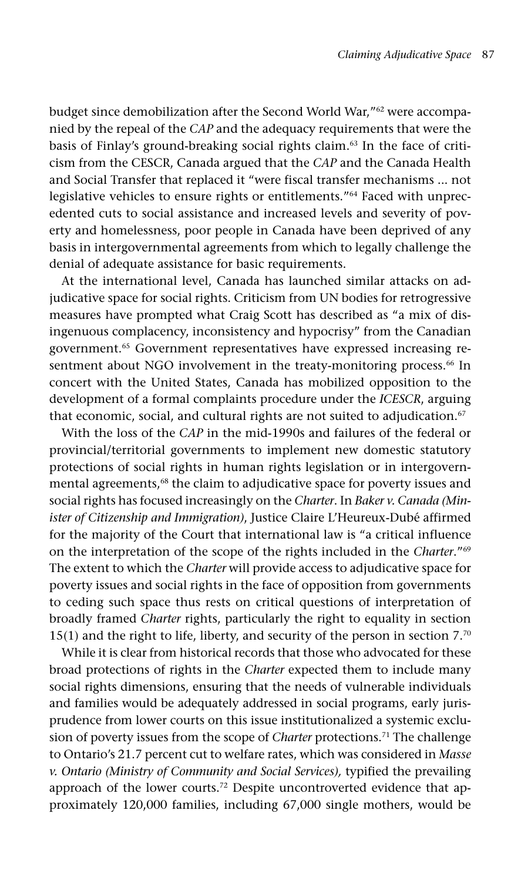budget since demobilization after the Second World War,"<sup>[62](#page-17-0)</sup> were accompanied by the repeal of the *CAP* and the adequacy requirements that were the basis of Finlay's ground-breaking social rights claim.<sup>63</sup> In the face of criticism from the CESCR, Canada argued that the *CAP* and the Canada Health and Social Transfer that replaced it "were fiscal transfer mechanisms ... not legislative vehicles to ensure rights or entitlements.["64](#page-17-0) Faced with unprecedented cuts to social assistance and increased levels and severity of poverty and homelessness, poor people in Canada have been deprived of any basis in intergovernmental agreements from which to legally challenge the denial of adequate assistance for basic requirements.

At the international level, Canada has launched similar attacks on adjudicative space for social rights. Criticism from UN bodies for retrogressive measures have prompted what Craig Scott has described as "a mix of disingenuous complacency, inconsistency and hypocrisy" from the Canadian government[.65](#page-17-0) Government representatives have expressed increasing resentment about NGO involvement in the treaty-monitoring process.<sup>66</sup> In concert with the United States, Canada has mobilized opposition to the development of a formal complaints procedure under the *ICESCR*, arguing that economic, social, and cultural rights are not suited to adjudication.<sup>67</sup>

With the loss of the *CAP* in the mid-1990s and failures of the federal or provincial/territorial governments to implement new domestic statutory protections of social rights in human rights legislation or in intergovernmental agreements,<sup>68</sup> the claim to adjudicative space for poverty issues and social rights has focused increasingly on the *Charter*. In *Baker v. Canada (Minister of Citizenship and Immigration)*, Justice Claire L'Heureux-Dubé affirmed for the majority of the Court that international law is "a critical influence on the interpretation of the scope of the rights included in the *Charter*.["69](#page-18-0) The extent to which the *Charter* will provide access to adjudicative space for poverty issues and social rights in the face of opposition from governments to ceding such space thus rests on critical questions of interpretation of broadly framed *Charter* rights, particularly the right to equality in section 15(1) and the right to life, liberty, and security of the person in section  $7.^{70}$  $7.^{70}$  $7.^{70}$ 

While it is clear from historical records that those who advocated for these broad protections of rights in the *Charter* expected them to include many social rights dimensions, ensuring that the needs of vulnerable individuals and families would be adequately addressed in social programs, early jurisprudence from lower courts on this issue institutionalized a systemic exclusion of poverty issues from the scope of *Charter* protections.<sup>71</sup> The challenge to Ontario's 21.7 percent cut to welfare rates, which was considered in *Masse v. Ontario (Ministry of Community and Social Services),* typified the prevailing approach of the lower courts.<sup>72</sup> Despite uncontroverted evidence that approximately 120,000 families, including 67,000 single mothers, would be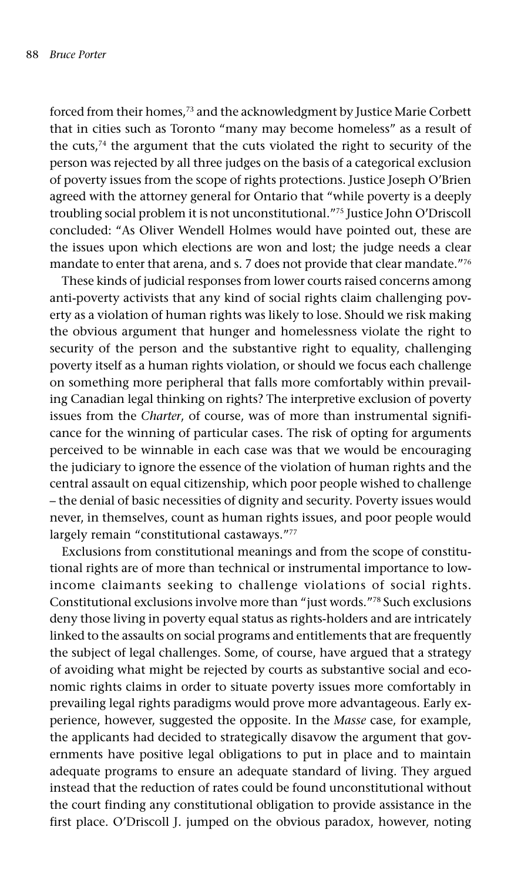forced from their homes,<sup>73</sup> and the acknowledgment by Justice Marie Corbett that in cities such as Toronto "many may become homeless" as a result of the cuts, $74$  the argument that the cuts violated the right to security of the person was rejected by all three judges on the basis of a categorical exclusion of poverty issues from the scope of rights protections. Justice Joseph O'Brien agreed with the attorney general for Ontario that "while poverty is a deeply troubling social problem it is not unconstitutional.["75](#page-18-1) Justice John O'Driscoll concluded: "As Oliver Wendell Holmes would have pointed out, these are the issues upon which elections are won and lost; the judge needs a clear mandate to enter that arena, and s. 7 does not provide that clear mandate.["76](#page-18-1)

These kinds of judicial responses from lower courts raised concerns among anti-poverty activists that any kind of social rights claim challenging poverty as a violation of human rights was likely to lose. Should we risk making the obvious argument that hunger and homelessness violate the right to security of the person and the substantive right to equality, challenging poverty itself as a human rights violation, or should we focus each challenge on something more peripheral that falls more comfortably within prevailing Canadian legal thinking on rights? The interpretive exclusion of poverty issues from the *Charter*, of course, was of more than instrumental significance for the winning of particular cases. The risk of opting for arguments perceived to be winnable in each case was that we would be encouraging the judiciary to ignore the essence of the violation of human rights and the central assault on equal citizenship, which poor people wished to challenge – the denial of basic necessities of dignity and security. Poverty issues would never, in themselves, count as human rights issues, and poor people would largely remain "constitutional castaways."<sup>77</sup>

Exclusions from constitutional meanings and from the scope of constitutional rights are of more than technical or instrumental importance to lowincome claimants seeking to challenge violations of social rights. Constitutional exclusions involve more than "just words.["78](#page-18-1) Such exclusions deny those living in poverty equal status as rights-holders and are intricately linked to the assaults on social programs and entitlements that are frequently the subject of legal challenges. Some, of course, have argued that a strategy of avoiding what might be rejected by courts as substantive social and economic rights claims in order to situate poverty issues more comfortably in prevailing legal rights paradigms would prove more advantageous. Early experience, however, suggested the opposite. In the *Masse* case, for example, the applicants had decided to strategically disavow the argument that governments have positive legal obligations to put in place and to maintain adequate programs to ensure an adequate standard of living. They argued instead that the reduction of rates could be found unconstitutional without the court finding any constitutional obligation to provide assistance in the first place. O'Driscoll J. jumped on the obvious paradox, however, noting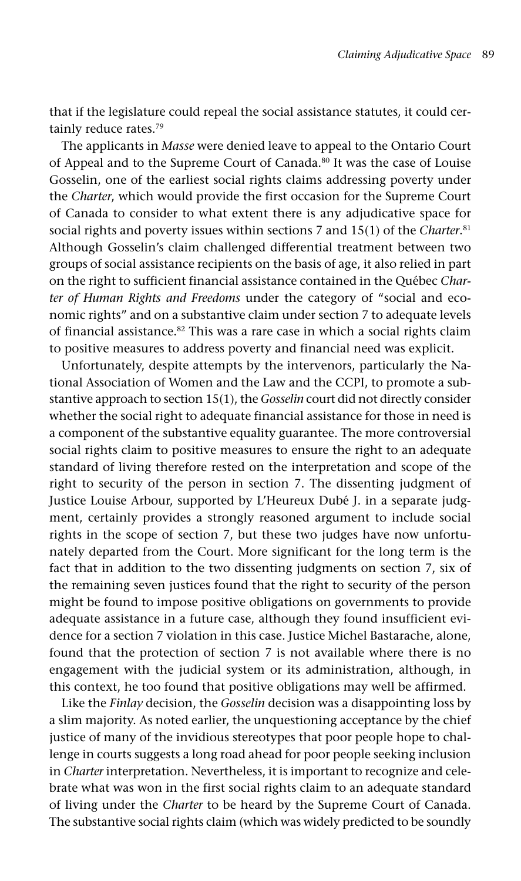that if the legislature could repeal the social assistance statutes, it could certainly reduce rates.[79](#page-18-0)

The applicants in *Masse* were denied leave to appeal to the Ontario Court of Appeal and to the Supreme Court of Canada.[80](#page-18-0) It was the case of Louise Gosselin, one of the earliest social rights claims addressing poverty under the *Charter*, which would provide the first occasion for the Supreme Court of Canada to consider to what extent there is any adjudicative space for social rights and poverty issues within sections 7 and 15(1) of the *Charter*. [81](#page-18-0) Although Gosselin's claim challenged differential treatment between two groups of social assistance recipients on the basis of age, it also relied in part on the right to sufficient financial assistance contained in the Québec *Charter of Human Rights and Freedoms* under the category of "social and economic rights" and on a substantive claim under section 7 to adequate levels of financial assistance.<sup>82</sup> This was a rare case in which a social rights claim to positive measures to address poverty and financial need was explicit.

Unfortunately, despite attempts by the intervenors, particularly the National Association of Women and the Law and the CCPI, to promote a substantive approach to section 15(1), the *Gosselin* court did not directly consider whether the social right to adequate financial assistance for those in need is a component of the substantive equality guarantee. The more controversial social rights claim to positive measures to ensure the right to an adequate standard of living therefore rested on the interpretation and scope of the right to security of the person in section 7. The dissenting judgment of Justice Louise Arbour, supported by L'Heureux Dubé J. in a separate judgment, certainly provides a strongly reasoned argument to include social rights in the scope of section 7, but these two judges have now unfortunately departed from the Court. More significant for the long term is the fact that in addition to the two dissenting judgments on section 7, six of the remaining seven justices found that the right to security of the person might be found to impose positive obligations on governments to provide adequate assistance in a future case, although they found insufficient evidence for a section 7 violation in this case. Justice Michel Bastarache, alone, found that the protection of section 7 is not available where there is no engagement with the judicial system or its administration, although, in this context, he too found that positive obligations may well be affirmed.

Like the *Finlay* decision, the *Gosselin* decision was a disappointing loss by a slim majority. As noted earlier, the unquestioning acceptance by the chief justice of many of the invidious stereotypes that poor people hope to challenge in courts suggests a long road ahead for poor people seeking inclusion in *Charter* interpretation. Nevertheless, it is important to recognize and celebrate what was won in the first social rights claim to an adequate standard of living under the *Charter* to be heard by the Supreme Court of Canada. The substantive social rights claim (which was widely predicted to be soundly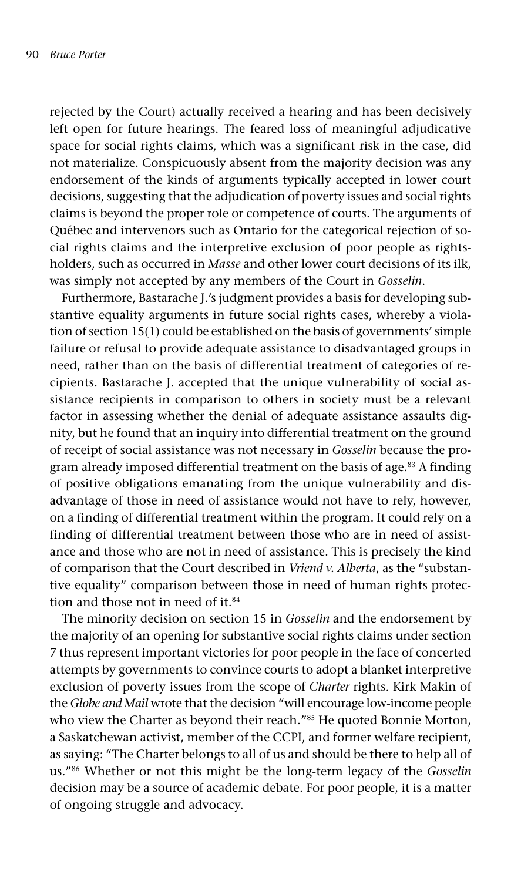rejected by the Court) actually received a hearing and has been decisively left open for future hearings. The feared loss of meaningful adjudicative space for social rights claims, which was a significant risk in the case, did not materialize. Conspicuously absent from the majority decision was any endorsement of the kinds of arguments typically accepted in lower court decisions, suggesting that the adjudication of poverty issues and social rights claims is beyond the proper role or competence of courts. The arguments of Québec and intervenors such as Ontario for the categorical rejection of social rights claims and the interpretive exclusion of poor people as rightsholders, such as occurred in *Masse* and other lower court decisions of its ilk, was simply not accepted by any members of the Court in *Gosselin*.

Furthermore, Bastarache J.'s judgment provides a basis for developing substantive equality arguments in future social rights cases, whereby a violation of section 15(1) could be established on the basis of governments' simple failure or refusal to provide adequate assistance to disadvantaged groups in need, rather than on the basis of differential treatment of categories of recipients. Bastarache J. accepted that the unique vulnerability of social assistance recipients in comparison to others in society must be a relevant factor in assessing whether the denial of adequate assistance assaults dignity, but he found that an inquiry into differential treatment on the ground of receipt of social assistance was not necessary in *Gosselin* because the program already imposed differential treatment on the basis of age.<sup>83</sup> A finding of positive obligations emanating from the unique vulnerability and disadvantage of those in need of assistance would not have to rely, however, on a finding of differential treatment within the program. It could rely on a finding of differential treatment between those who are in need of assistance and those who are not in need of assistance. This is precisely the kind of comparison that the Court described in *Vriend v. Alberta*, as the "substantive equality" comparison between those in need of human rights protection and those not in need of it.<sup>84</sup>

The minority decision on section 15 in *Gosselin* and the endorsement by the majority of an opening for substantive social rights claims under section 7 thus represent important victories for poor people in the face of concerted attempts by governments to convince courts to adopt a blanket interpretive exclusion of poverty issues from the scope of *Charter* rights. Kirk Makin of the *Globe and Mail* wrote that the decision "will encourage low-income people who view the Charter as beyond their reach."<sup>85</sup> He quoted Bonnie Morton, a Saskatchewan activist, member of the CCPI, and former welfare recipient, as saying: "The Charter belongs to all of us and should be there to help all of us.["86](#page-18-1) Whether or not this might be the long-term legacy of the *Gosselin* decision may be a source of academic debate. For poor people, it is a matter of ongoing struggle and advocacy.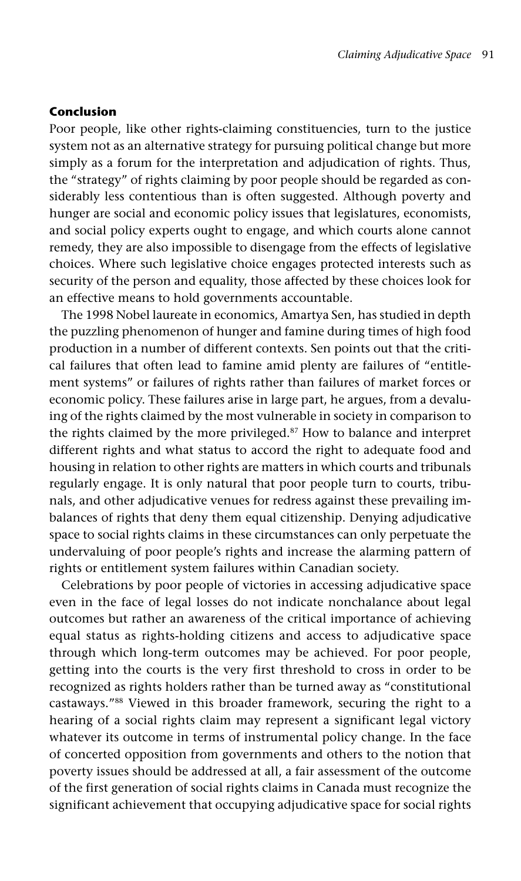## **Conclusion**

Poor people, like other rights-claiming constituencies, turn to the justice system not as an alternative strategy for pursuing political change but more simply as a forum for the interpretation and adjudication of rights. Thus, the "strategy" of rights claiming by poor people should be regarded as considerably less contentious than is often suggested. Although poverty and hunger are social and economic policy issues that legislatures, economists, and social policy experts ought to engage, and which courts alone cannot remedy, they are also impossible to disengage from the effects of legislative choices. Where such legislative choice engages protected interests such as security of the person and equality, those affected by these choices look for an effective means to hold governments accountable.

The 1998 Nobel laureate in economics, Amartya Sen, has studied in depth the puzzling phenomenon of hunger and famine during times of high food production in a number of different contexts. Sen points out that the critical failures that often lead to famine amid plenty are failures of "entitlement systems" or failures of rights rather than failures of market forces or economic policy. These failures arise in large part, he argues, from a devaluing of the rights claimed by the most vulnerable in society in comparison to the rights claimed by the more privileged[.87](#page-18-0) How to balance and interpret different rights and what status to accord the right to adequate food and housing in relation to other rights are matters in which courts and tribunals regularly engage. It is only natural that poor people turn to courts, tribunals, and other adjudicative venues for redress against these prevailing imbalances of rights that deny them equal citizenship. Denying adjudicative space to social rights claims in these circumstances can only perpetuate the undervaluing of poor people's rights and increase the alarming pattern of rights or entitlement system failures within Canadian society.

Celebrations by poor people of victories in accessing adjudicative space even in the face of legal losses do not indicate nonchalance about legal outcomes but rather an awareness of the critical importance of achieving equal status as rights-holding citizens and access to adjudicative space through which long-term outcomes may be achieved. For poor people, getting into the courts is the very first threshold to cross in order to be recognized as rights holders rather than be turned away as "constitutional castaways."[88](#page-18-0) Viewed in this broader framework, securing the right to a hearing of a social rights claim may represent a significant legal victory whatever its outcome in terms of instrumental policy change. In the face of concerted opposition from governments and others to the notion that poverty issues should be addressed at all, a fair assessment of the outcome of the first generation of social rights claims in Canada must recognize the significant achievement that occupying adjudicative space for social rights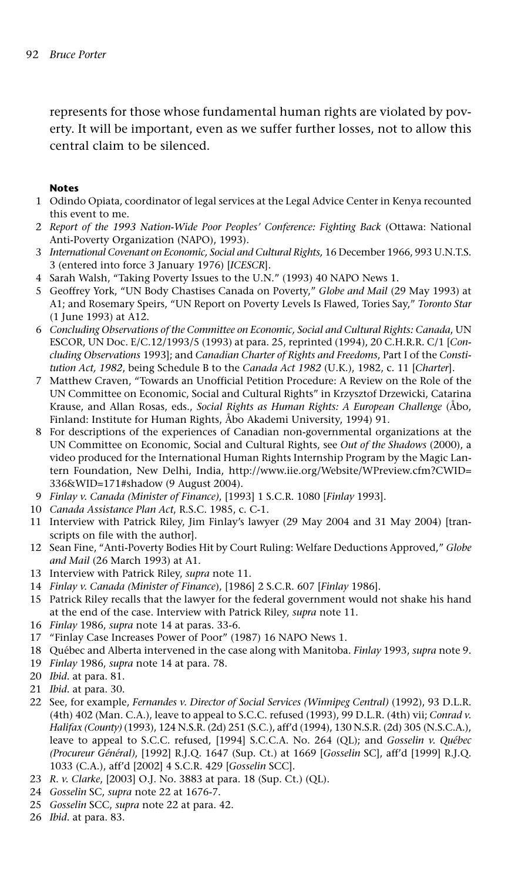<span id="page-15-1"></span><span id="page-15-0"></span>represents for those whose fundamental human rights are violated by poverty. It will be important, even as we suffer further losses, not to allow this central claim to be silenced.

#### **Notes**

- 1 Odindo Opiata, coordinator of legal services at the Legal Advice Center in Kenya recounted this event to me.
- 2 *Report of the 1993 Nation-Wide Poor Peoples' Conference: Fighting Back* (Ottawa: National Anti-Poverty Organization (NAPO), 1993).
- 3 *International Covenant on Economic, Social and Cultural Rights,* 16 December 1966, 993 U.N.T.S. 3 (entered into force 3 January 1976) [*ICESCR*].
- 4 Sarah Walsh, "Taking Poverty Issues to the U.N." (1993) 40 NAPO News 1.
- 5 Geoffrey York, "UN Body Chastises Canada on Poverty," *Globe and Mail* (29 May 1993) at A1; and Rosemary Speirs, "UN Report on Poverty Levels Is Flawed, Tories Say," *Toronto Star* (1 June 1993) at A12.
- 6 *Concluding Observations of the Committee on Economic, Social and Cultural Rights: Canada*, UN ESCOR, UN Doc. E/C.12/1993/5 (1993) at para. 25, reprinted (1994), 20 C.H.R.R. C/1 [*Concluding Observations* 1993]; and *Canadian Charter of Rights and Freedoms*, Part I of the *Constitution Act, 1982*, being Schedule B to the *Canada Act 1982* (U.K.), 1982, c. 11 [*Charter*].
- 7 Matthew Craven, "Towards an Unofficial Petition Procedure: A Review on the Role of the UN Committee on Economic, Social and Cultural Rights" in Krzysztof Drzewicki, Catarina Krause, and Allan Rosas, eds., *Social Rights as Human Rights: A European Challenge* (Åbo, Finland: Institute for Human Rights, Åbo Akademi University, 1994) 91.
- 8 For descriptions of the experiences of Canadian non-governmental organizations at the UN Committee on Economic, Social and Cultural Rights, see *Out of the Shadows* (2000), a video produced for the International Human Rights Internship Program by the Magic Lantern Foundation, New Delhi, India, [http://www.iie.org/Website/WPreview.cfm?CWID=](http://www.iie.org/Website/WPreview.cfm?CWID=336&WID=171#shadow) [336&WID=171#shadow](http://www.iie.org/Website/WPreview.cfm?CWID=336&WID=171#shadow) (9 August 2004).
- 9 *Finlay v. Canada (Minister of Finance)*, [1993] 1 S.C.R. 1080 [*Finlay* 1993].
- 10 *Canada Assistance Plan Act*, R.S.C. 1985, c. C-1.
- 11 Interview with Patrick Riley, Jim Finlay's lawyer (29 May 2004 and 31 May 2004) [transcripts on file with the author].
- 12 Sean Fine, "Anti-Poverty Bodies Hit by Court Ruling: Welfare Deductions Approved," *Globe and Mail* (26 March 1993) at A1.
- 13 Interview with Patrick Riley, *supra* note 11.
- 14 *Finlay v. Canada (Minister of Finance*), [1986] 2 S.C.R. 607 [*Finlay* 1986].
- 15 Patrick Riley recalls that the lawyer for the federal government would not shake his hand at the end of the case. Interview with Patrick Riley, *supra* note 11.
- 16 *Finlay* 1986, *supra* note 14 at paras. 33-6.
- 17 "Finlay Case Increases Power of Poor" (1987) 16 NAPO News 1.
- 18 Québec and Alberta intervened in the case along with Manitoba. *Finlay* 1993, *supra* note 9.
- 19 *Finlay* 1986, *supra* note 14 at para. 78.
- 20 *Ibid.* at para. 81.
- 21 *Ibid.* at para. 30.
- 22 See, for example, *Fernandes v. Director of Social Services (Winnipeg Central)* (1992), 93 D.L.R. (4th) 402 (Man. C.A.), leave to appeal to S.C.C. refused (1993), 99 D.L.R. (4th) vii; *Conrad v. Halifax (County)* (1993), 124 N.S.R. (2d) 251 (S.C.), aff'd (1994), 130 N.S.R. (2d) 305 (N.S.C.A.), leave to appeal to S.C.C. refused, [1994] S.C.C.A. No. 264 (QL); and *Gosselin v. Québec (Procureur Général)*, [1992] R.J.Q. 1647 (Sup. Ct.) at 1669 [*Gosselin* SC], aff'd [1999] R.J.Q. 1033 (C.A.), aff'd [2002] 4 S.C.R. 429 [*Gosselin* SCC].
- 23 *R*. *v. Clarke*, [2003] O.J. No. 3883 at para. 18 (Sup. Ct.) (QL).
- 24 *Gosselin* SC, *supra* note 22 at 1676-7.
- 25 *Gosselin* SCC, *supra* note 22 at para. 42.
- 26 *Ibid.* at para. 83.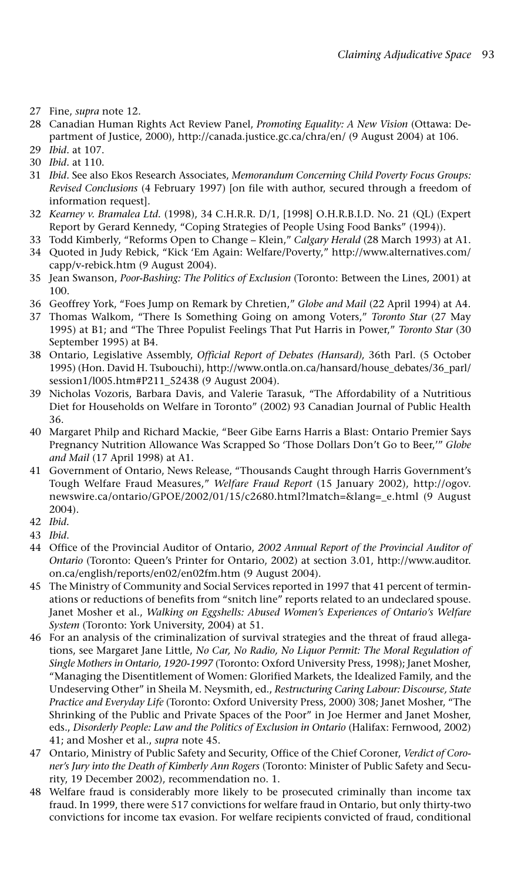- <span id="page-16-1"></span><span id="page-16-0"></span>27 Fine, *supra* note 12.
- 28 Canadian Human Rights Act Review Panel, *Promoting Equality: A New Vision* (Ottawa: Department of Justice, 2000),<http://canada.justice.gc.ca/chra/en/>(9 August 2004) at 106.
- 29 *Ibid.* at 107.
- 30 *Ibid.* at 110.
- 31 *Ibid.* See also Ekos Research Associates, *Memorandum Concerning Child Poverty Focus Groups: Revised Conclusions* (4 February 1997) [on file with author, secured through a freedom of information request].
- 32 *Kearney v. Bramalea Ltd.* (1998), 34 C.H.R.R. D/1, [1998] O.H.R.B.I.D. No. 21 (QL) (Expert Report by Gerard Kennedy, "Coping Strategies of People Using Food Banks" (1994)).
- 33 Todd Kimberly, "Reforms Open to Change Klein," *Calgary Herald* (28 March 1993) at A1.
- 34 Quoted in Judy Rebick, "Kick 'Em Again: Welfare/Poverty," [http://www.alternatives.com/](http://www.alternatives.com/capp/v-rebick.htm) [capp/v-rebick.htm](http://www.alternatives.com/capp/v-rebick.htm) (9 August 2004).
- 35 Jean Swanson, *Poor-Bashing: The Politics of Exclusion* (Toronto: Between the Lines, 2001) at 100.
- 36 Geoffrey York, "Foes Jump on Remark by Chretien," *Globe and Mail* (22 April 1994) at A4.
- 37 Thomas Walkom, "There Is Something Going on among Voters," *Toronto Star* (27 May 1995) at B1; and "The Three Populist Feelings That Put Harris in Power," *Toronto Star* (30 September 1995) at B4.
- 38 Ontario, Legislative Assembly, *Official Report of Debates (Hansard)*, 36th Parl. (5 October 1995) (Hon. David H. Tsubouchi), [http://www.ontla.on.ca/hansard/house\\_debates/36\\_parl/](http://www.ontla.on.ca/hansard/house_debates/36_parl/session1/l005.htm#P211_52438) [session1/l005.htm#P211\\_52438](http://www.ontla.on.ca/hansard/house_debates/36_parl/session1/l005.htm#P211_52438) (9 August 2004).
- 39 Nicholas Vozoris, Barbara Davis, and Valerie Tarasuk, "The Affordability of a Nutritious Diet for Households on Welfare in Toronto" (2002) 93 Canadian Journal of Public Health 36.
- 40 Margaret Philp and Richard Mackie, "Beer Gibe Earns Harris a Blast: Ontario Premier Says Pregnancy Nutrition Allowance Was Scrapped So 'Those Dollars Don't Go to Beer,'" *Globe and Mail* (17 April 1998) at A1.
- 41 Government of Ontario, News Release, "Thousands Caught through Harris Government's Tough Welfare Fraud Measures," *Welfare Fraud Report* (15 January 2002), [http://ogov.](http://ogov.newswire.ca/ontario/GPOE/2002/01/15/c2680.html?lmatch=&lang=_e.html) [newswire.ca/ontario/GPOE/2002/01/15/c2680.html?lmatch=&lang=\\_e.html](http://ogov.newswire.ca/ontario/GPOE/2002/01/15/c2680.html?lmatch=&lang=_e.html) (9 August 2004).
- 42 *Ibid.*
- 43 *Ibid*.
- 44 Office of the Provincial Auditor of Ontario, *2002 Annual Report of the Provincial Auditor of Ontario* (Toronto: Queen's Printer for Ontario, 2002) at section 3.01, [http://www.auditor.](http://www.auditor.on.ca/english/reports/en02/en02fm.htm) [on.ca/english/reports/en02/en02fm.htm](http://www.auditor.on.ca/english/reports/en02/en02fm.htm) (9 August 2004).
- 45 The Ministry of Community and Social Services reported in 1997 that 41 percent of terminations or reductions of benefits from "snitch line" reports related to an undeclared spouse. Janet Mosher et al., *Walking on Eggshells: Abused Women's Experiences of Ontario's Welfare System* (Toronto: York University, 2004) at 51.
- 46 For an analysis of the criminalization of survival strategies and the threat of fraud allegations, see Margaret Jane Little, *No Car, No Radio, No Liquor Permit: The Moral Regulation of Single Mothers in Ontario, 1920-1997* (Toronto: Oxford University Press, 1998); Janet Mosher, "Managing the Disentitlement of Women: Glorified Markets, the Idealized Family, and the Undeserving Other" in Sheila M. Neysmith, ed., *Restructuring Caring Labour: Discourse, State Practice and Everyday Life* (Toronto: Oxford University Press, 2000) 308; Janet Mosher, "The Shrinking of the Public and Private Spaces of the Poor" in Joe Hermer and Janet Mosher, eds., *Disorderly People: Law and the Politics of Exclusion in Ontario* (Halifax: Fernwood, 2002) 41; and Mosher et al., *supra* note 45.
- 47 Ontario, Ministry of Public Safety and Security, Office of the Chief Coroner, *Verdict of Coroner's Jury into the Death of Kimberly Ann Rogers* (Toronto: Minister of Public Safety and Security, 19 December 2002), recommendation no. 1.
- 48 Welfare fraud is considerably more likely to be prosecuted criminally than income tax fraud. In 1999, there were 517 convictions for welfare fraud in Ontario, but only thirty-two convictions for income tax evasion. For welfare recipients convicted of fraud, conditional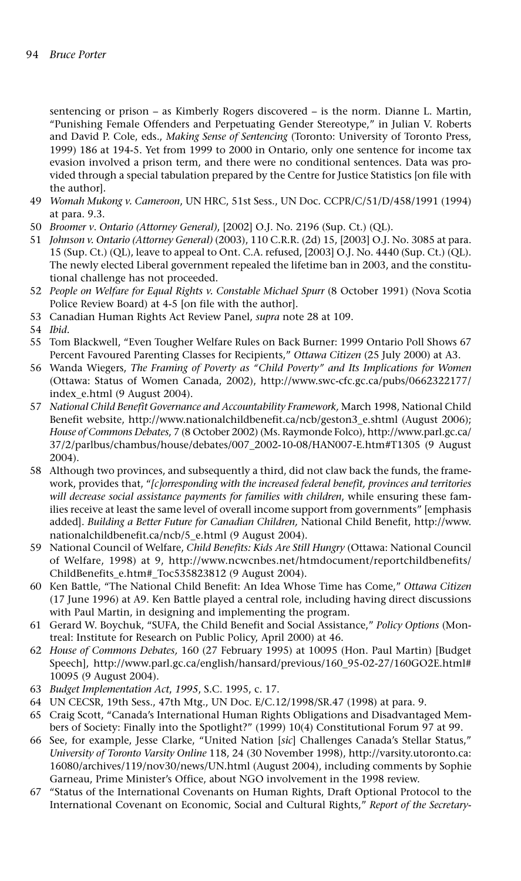<span id="page-17-1"></span><span id="page-17-0"></span>sentencing or prison – as Kimberly Rogers discovered – is the norm. Dianne L. Martin, "Punishing Female Offenders and Perpetuating Gender Stereotype," in Julian V. Roberts and David P. Cole, eds., *Making Sense of Sentencing* (Toronto: University of Toronto Press, 1999) 186 at 194-5. Yet from 1999 to 2000 in Ontario, only one sentence for income tax evasion involved a prison term, and there were no conditional sentences. Data was provided through a special tabulation prepared by the Centre for Justice Statistics [on file with the author]*.*

- 49 *Womah Mukong v. Cameroon*, UN HRC, 51st Sess., UN Doc. CCPR/C/51/D/458/1991 (1994) at para. 9.3.
- 50 *Broomer v*. *Ontario (Attorney General)*, [2002] O.J. No. 2196 (Sup. Ct.) (QL).
- 51 *Johnson v. Ontario (Attorney General)* (2003), 110 C.R.R. (2d) 15, [2003] O.J. No. 3085 at para. 15 (Sup. Ct.) (QL), leave to appeal to Ont. C.A. refused, [2003] O.J. No. 4440 (Sup. Ct.) (QL). The newly elected Liberal government repealed the lifetime ban in 2003, and the constitutional challenge has not proceeded.
- 52 *People on Welfare for Equal Rights v. Constable Michael Spurr* (8 October 1991) (Nova Scotia Police Review Board) at 4-5 [on file with the author].
- 53 Canadian Human Rights Act Review Panel, *supra* note 28 at 109.
- 54 *Ibid.*
- 55 Tom Blackwell, "Even Tougher Welfare Rules on Back Burner: 1999 Ontario Poll Shows 67 Percent Favoured Parenting Classes for Recipients," *Ottawa Citizen* (25 July 2000) at A3.
- 56 Wanda Wiegers, *The Framing of Poverty as "Child Poverty" and Its Implications for Women* (Ottawa: Status of Women Canada, 2002), [http://www.swc-cfc.gc.ca/pubs/0662322177/](http://www.swc-cfc.gc.ca/pubs/0662322177/index_e.html) [index\\_e.html](http://www.swc-cfc.gc.ca/pubs/0662322177/index_e.html) (9 August 2004).
- 57 *National Child Benefit Governance and Accountability Framework,* March 1998, National Child Benefit website, [http://www.nationalchildbenefit.ca/ncb/geston3\\_e.shtml](http://www.nationalchildbenefit.ca/ncb/geston3_e.shtml) (August 2006); *House of Commons Debates*, 7 (8 October 2002) (Ms. Raymonde Folco), [http://www.parl.gc.ca/](http://www.parl.gc.ca/37/2/parlbus/chambus/house/debates/007_2002-10-08/HAN007-E.htm#T1305) [37/2/parlbus/chambus/house/debates/007\\_2002-10-08/HAN007-E.htm#T1305](http://www.parl.gc.ca/37/2/parlbus/chambus/house/debates/007_2002-10-08/HAN007-E.htm#T1305) (9 August 2004).
- 58 Although two provinces, and subsequently a third, did not claw back the funds, the framework, provides that, "*[c]orresponding with the increased federal benefit, provinces and territories will decrease social assistance payments for families with children*, while ensuring these families receive at least the same level of overall income support from governments" [emphasis added]. *Building a Better Future for Canadian Children,* National Child Benefit, [http://www.](http://www.nationalchildbenefit.ca/ncb/5_e.html) [nationalchildbenefit.ca/ncb/5\\_e.html](http://www.nationalchildbenefit.ca/ncb/5_e.html) (9 August 2004).
- 59 National Council of Welfare, *Child Benefits: Kids Are Still Hungry* (Ottawa: National Council of Welfare, 1998) at 9, [http://www.ncwcnbes.net/htmdocument/reportchildbenefits/](http://www.ncwcnbes.net/htmdocument/reportchildbenefits/ChildBenefits_e.htm#_Toc535823812) [ChildBenefits\\_e.htm#\\_Toc535823812](http://www.ncwcnbes.net/htmdocument/reportchildbenefits/ChildBenefits_e.htm#_Toc535823812) (9 August 2004).
- 60 Ken Battle, "The National Child Benefit: An Idea Whose Time has Come," *Ottawa Citizen* (17 June 1996) at A9. Ken Battle played a central role, including having direct discussions with Paul Martin, in designing and implementing the program.
- 61 Gerard W. Boychuk, "SUFA, the Child Benefit and Social Assistance," *Policy Options* (Montreal: Institute for Research on Public Policy, April 2000) at 46.
- 62 *House of Commons Debates,* 160 (27 February 1995) at 10095 (Hon. Paul Martin) [Budget Speech], [http://www.parl.gc.ca/english/hansard/previous/160\\_95-02-27/160GO2E.html#](http://www.parl.gc.ca/english/hansard/previous/160_95-02-27/160GO2E.html#10095) [10095](http://www.parl.gc.ca/english/hansard/previous/160_95-02-27/160GO2E.html#10095) (9 August 2004).
- 63 *Budget Implementation Act*, *1995*, S.C. 1995, c. 17.
- 64 UN CECSR, 19th Sess., 47th Mtg., UN Doc. E/C.12/1998/SR.47 (1998) at para. 9.
- 65 Craig Scott, "Canada's International Human Rights Obligations and Disadvantaged Members of Society: Finally into the Spotlight?" (1999) 10(4) Constitutional Forum 97 at 99.
- 66 See, for example, Jesse Clarke, "United Nation [*sic*] Challenges Canada's Stellar Status," *University of Toronto Varsity Online* 118, 24 (30 November 1998), [http://varsity.utoronto.ca:](http://varsity.utoronto.ca:16080/archives/119/nov30/news/UN.html) [16080/archives/119/nov30/news/UN.html](http://varsity.utoronto.ca:16080/archives/119/nov30/news/UN.html) (August 2004), including comments by Sophie Garneau, Prime Minister's Office, about NGO involvement in the 1998 review.
- 67 "Status of the International Covenants on Human Rights, Draft Optional Protocol to the International Covenant on Economic, Social and Cultural Rights," *Report of the Secretary-*